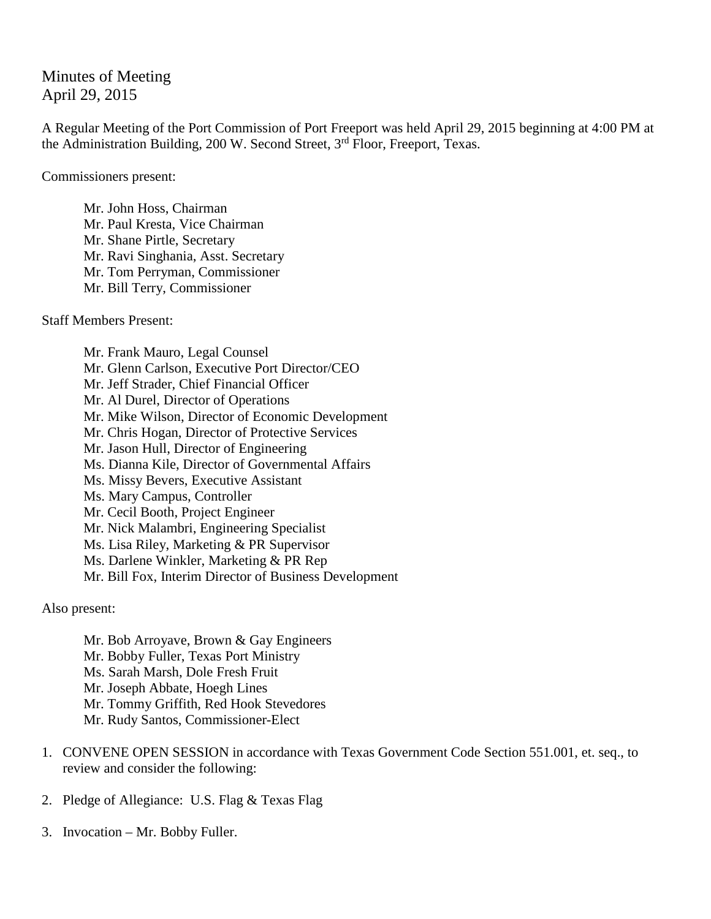# Minutes of Meeting April 29, 2015

A Regular Meeting of the Port Commission of Port Freeport was held April 29, 2015 beginning at 4:00 PM at the Administration Building, 200 W. Second Street, 3<sup>rd</sup> Floor, Freeport, Texas.

Commissioners present:

Mr. John Hoss, Chairman Mr. Paul Kresta, Vice Chairman Mr. Shane Pirtle, Secretary Mr. Ravi Singhania, Asst. Secretary Mr. Tom Perryman, Commissioner Mr. Bill Terry, Commissioner

Staff Members Present:

Mr. Frank Mauro, Legal Counsel Mr. Glenn Carlson, Executive Port Director/CEO Mr. Jeff Strader, Chief Financial Officer Mr. Al Durel, Director of Operations Mr. Mike Wilson, Director of Economic Development Mr. Chris Hogan, Director of Protective Services Mr. Jason Hull, Director of Engineering Ms. Dianna Kile, Director of Governmental Affairs Ms. Missy Bevers, Executive Assistant Ms. Mary Campus, Controller Mr. Cecil Booth, Project Engineer Mr. Nick Malambri, Engineering Specialist Ms. Lisa Riley, Marketing & PR Supervisor Ms. Darlene Winkler, Marketing & PR Rep Mr. Bill Fox, Interim Director of Business Development

Also present:

Mr. Bob Arroyave, Brown & Gay Engineers Mr. Bobby Fuller, Texas Port Ministry Ms. Sarah Marsh, Dole Fresh Fruit Mr. Joseph Abbate, Hoegh Lines Mr. Tommy Griffith, Red Hook Stevedores Mr. Rudy Santos, Commissioner-Elect

- 1. CONVENE OPEN SESSION in accordance with Texas Government Code Section 551.001, et. seq., to review and consider the following:
- 2. Pledge of Allegiance: U.S. Flag & Texas Flag
- 3. Invocation Mr. Bobby Fuller.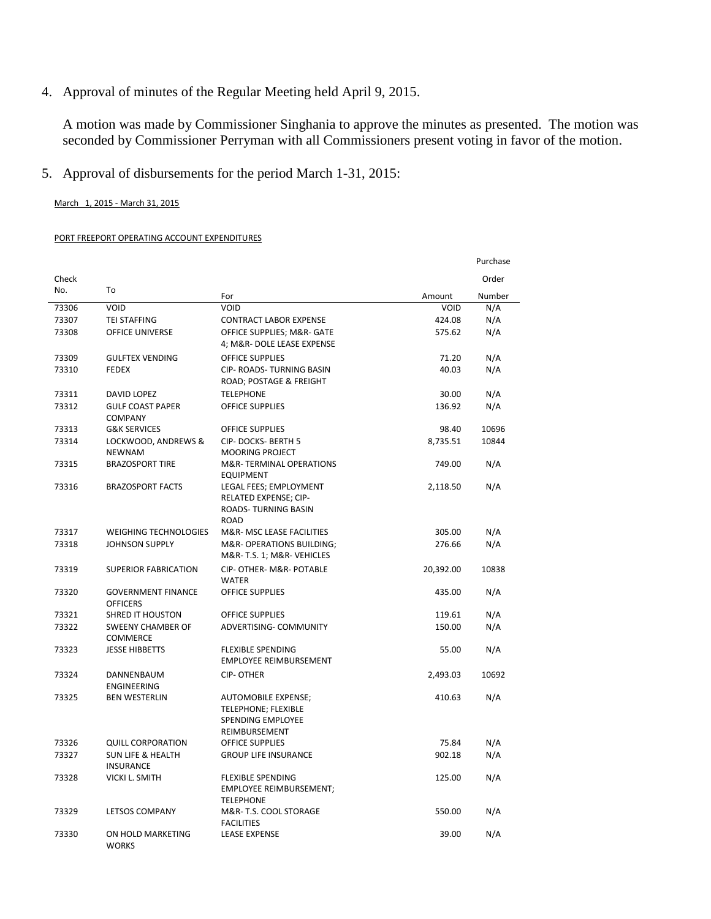4. Approval of minutes of the Regular Meeting held April 9, 2015.

A motion was made by Commissioner Singhania to approve the minutes as presented. The motion was seconded by Commissioner Perryman with all Commissioners present voting in favor of the motion.

5. Approval of disbursements for the period March 1-31, 2015:

March 1, 2015 - March 31, 2015

#### PORT FREEPORT OPERATING ACCOUNT EXPENDITURES

|       |                                                  |                                                                                         |             | Purchase |
|-------|--------------------------------------------------|-----------------------------------------------------------------------------------------|-------------|----------|
| Check |                                                  |                                                                                         |             | Order    |
| No.   | To                                               | For                                                                                     | Amount      | Number   |
| 73306 | VOID                                             | VOID                                                                                    | <b>VOID</b> | N/A      |
| 73307 | <b>TEI STAFFING</b>                              | <b>CONTRACT LABOR EXPENSE</b>                                                           | 424.08      | N/A      |
| 73308 | OFFICE UNIVERSE                                  | OFFICE SUPPLIES; M&R- GATE<br>4; M&R- DOLE LEASE EXPENSE                                | 575.62      | N/A      |
| 73309 | <b>GULFTEX VENDING</b>                           | <b>OFFICE SUPPLIES</b>                                                                  | 71.20       | N/A      |
| 73310 | <b>FEDEX</b>                                     | CIP- ROADS- TURNING BASIN<br>ROAD; POSTAGE & FREIGHT                                    | 40.03       | N/A      |
| 73311 | DAVID LOPEZ                                      | <b>TELEPHONE</b>                                                                        | 30.00       | N/A      |
| 73312 | <b>GULF COAST PAPER</b><br><b>COMPANY</b>        | <b>OFFICE SUPPLIES</b>                                                                  | 136.92      | N/A      |
| 73313 | <b>G&amp;K SERVICES</b>                          | <b>OFFICE SUPPLIES</b>                                                                  | 98.40       | 10696    |
| 73314 | LOCKWOOD, ANDREWS &<br><b>NEWNAM</b>             | CIP-DOCKS-BERTH 5<br><b>MOORING PROJECT</b>                                             | 8,735.51    | 10844    |
| 73315 | <b>BRAZOSPORT TIRE</b>                           | M&R-TERMINAL OPERATIONS<br><b>EQUIPMENT</b>                                             | 749.00      | N/A      |
| 73316 | <b>BRAZOSPORT FACTS</b>                          | LEGAL FEES; EMPLOYMENT<br>RELATED EXPENSE; CIP-<br>ROADS-TURNING BASIN<br><b>ROAD</b>   | 2,118.50    | N/A      |
| 73317 | <b>WEIGHING TECHNOLOGIES</b>                     | M&R- MSC LEASE FACILITIES                                                               | 305.00      | N/A      |
| 73318 | <b>JOHNSON SUPPLY</b>                            | M&R- OPERATIONS BUILDING;<br>M&R-T.S. 1; M&R-VEHICLES                                   | 276.66      | N/A      |
| 73319 | <b>SUPERIOR FABRICATION</b>                      | CIP- OTHER- M&R- POTABLE<br><b>WATER</b>                                                | 20,392.00   | 10838    |
| 73320 | <b>GOVERNMENT FINANCE</b><br><b>OFFICERS</b>     | <b>OFFICE SUPPLIES</b>                                                                  | 435.00      | N/A      |
| 73321 | <b>SHRED IT HOUSTON</b>                          | <b>OFFICE SUPPLIES</b>                                                                  | 119.61      | N/A      |
| 73322 | <b>SWEENY CHAMBER OF</b><br><b>COMMERCE</b>      | ADVERTISING- COMMUNITY                                                                  | 150.00      | N/A      |
| 73323 | <b>JESSE HIBBETTS</b>                            | <b>FLEXIBLE SPENDING</b><br><b>EMPLOYEE REIMBURSEMENT</b>                               | 55.00       | N/A      |
| 73324 | DANNENBAUM<br>ENGINEERING                        | <b>CIP-OTHER</b>                                                                        | 2,493.03    | 10692    |
| 73325 | <b>BEN WESTERLIN</b>                             | AUTOMOBILE EXPENSE;<br><b>TELEPHONE; FLEXIBLE</b><br>SPENDING EMPLOYEE<br>REIMBURSEMENT | 410.63      | N/A      |
| 73326 | <b>QUILL CORPORATION</b>                         | <b>OFFICE SUPPLIES</b>                                                                  | 75.84       | N/A      |
| 73327 | <b>SUN LIFE &amp; HEALTH</b><br><b>INSURANCE</b> | <b>GROUP LIFE INSURANCE</b>                                                             | 902.18      | N/A      |
| 73328 | <b>VICKI L. SMITH</b>                            | <b>FLEXIBLE SPENDING</b><br><b>EMPLOYEE REIMBURSEMENT;</b><br><b>TELEPHONE</b>          | 125.00      | N/A      |
| 73329 | <b>LETSOS COMPANY</b>                            | M&R- T.S. COOL STORAGE<br><b>FACILITIES</b>                                             | 550.00      | N/A      |
| 73330 | ON HOLD MARKETING<br><b>WORKS</b>                | <b>LEASE EXPENSE</b>                                                                    | 39.00       | N/A      |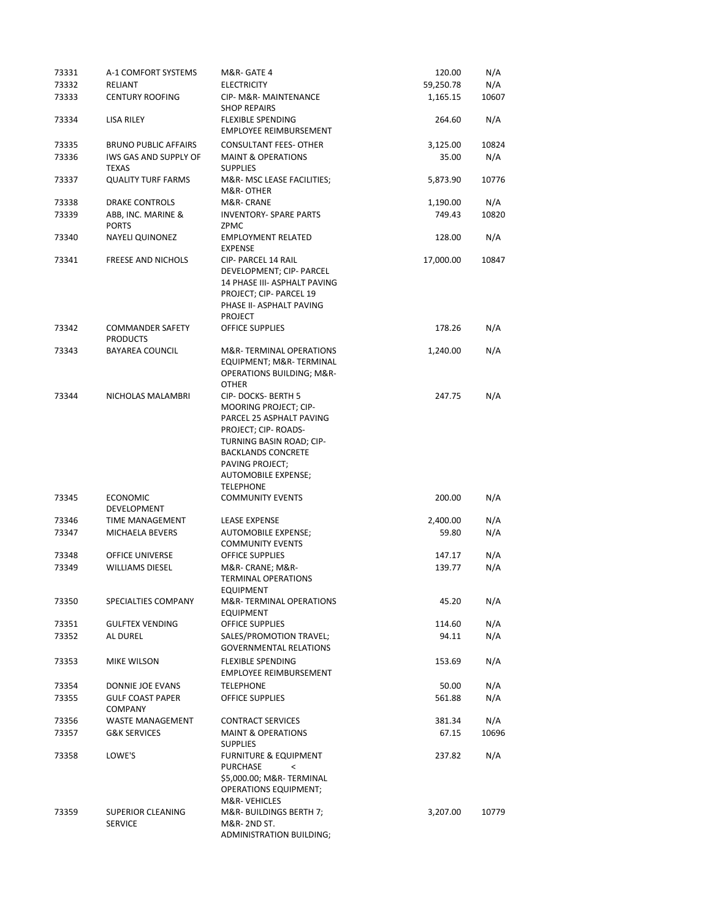| 73331 | A-1 COMFORT SYSTEMS                        | M&R- GATE 4                                                                                                                                                                                                          | 120.00    | N/A   |
|-------|--------------------------------------------|----------------------------------------------------------------------------------------------------------------------------------------------------------------------------------------------------------------------|-----------|-------|
| 73332 | RELIANT                                    | <b>ELECTRICITY</b>                                                                                                                                                                                                   | 59,250.78 | N/A   |
| 73333 | <b>CENTURY ROOFING</b>                     | CIP- M&R- MAINTENANCE<br><b>SHOP REPAIRS</b>                                                                                                                                                                         | 1,165.15  | 10607 |
| 73334 | LISA RILEY                                 | <b>FLEXIBLE SPENDING</b><br><b>EMPLOYEE REIMBURSEMENT</b>                                                                                                                                                            | 264.60    | N/A   |
| 73335 | <b>BRUNO PUBLIC AFFAIRS</b>                | <b>CONSULTANT FEES- OTHER</b>                                                                                                                                                                                        | 3,125.00  | 10824 |
| 73336 | IWS GAS AND SUPPLY OF<br><b>TEXAS</b>      | <b>MAINT &amp; OPERATIONS</b><br><b>SUPPLIES</b>                                                                                                                                                                     | 35.00     | N/A   |
| 73337 | <b>QUALITY TURF FARMS</b>                  | M&R- MSC LEASE FACILITIES;<br>M&R-OTHER                                                                                                                                                                              | 5,873.90  | 10776 |
| 73338 | <b>DRAKE CONTROLS</b>                      | M&R- CRANE                                                                                                                                                                                                           | 1,190.00  | N/A   |
| 73339 | ABB, INC. MARINE &<br><b>PORTS</b>         | <b>INVENTORY- SPARE PARTS</b><br>ZPMC                                                                                                                                                                                | 749.43    | 10820 |
| 73340 | <b>NAYELI QUINONEZ</b>                     | <b>EMPLOYMENT RELATED</b><br><b>EXPENSE</b>                                                                                                                                                                          | 128.00    | N/A   |
| 73341 | <b>FREESE AND NICHOLS</b>                  | CIP- PARCEL 14 RAIL<br>DEVELOPMENT; CIP- PARCEL<br>14 PHASE III- ASPHALT PAVING<br>PROJECT; CIP- PARCEL 19<br>PHASE II- ASPHALT PAVING<br><b>PROJECT</b>                                                             | 17,000.00 | 10847 |
| 73342 | <b>COMMANDER SAFETY</b><br><b>PRODUCTS</b> | <b>OFFICE SUPPLIES</b>                                                                                                                                                                                               | 178.26    | N/A   |
| 73343 | <b>BAYAREA COUNCIL</b>                     | M&R-TERMINAL OPERATIONS<br>EQUIPMENT; M&R-TERMINAL<br><b>OPERATIONS BUILDING; M&amp;R-</b><br><b>OTHER</b>                                                                                                           | 1,240.00  | N/A   |
| 73344 | NICHOLAS MALAMBRI                          | CIP-DOCKS-BERTH 5<br>MOORING PROJECT; CIP-<br>PARCEL 25 ASPHALT PAVING<br>PROJECT; CIP-ROADS-<br>TURNING BASIN ROAD; CIP-<br><b>BACKLANDS CONCRETE</b><br>PAVING PROJECT;<br>AUTOMOBILE EXPENSE;<br><b>TELEPHONE</b> | 247.75    | N/A   |
| 73345 | <b>ECONOMIC</b><br>DEVELOPMENT             | <b>COMMUNITY EVENTS</b>                                                                                                                                                                                              | 200.00    | N/A   |
| 73346 | <b>TIME MANAGEMENT</b>                     | <b>LEASE EXPENSE</b>                                                                                                                                                                                                 | 2,400.00  | N/A   |
| 73347 | MICHAELA BEVERS                            | AUTOMOBILE EXPENSE;<br><b>COMMUNITY EVENTS</b>                                                                                                                                                                       | 59.80     | N/A   |
| 73348 | <b>OFFICE UNIVERSE</b>                     | <b>OFFICE SUPPLIES</b>                                                                                                                                                                                               | 147.17    | N/A   |
| 73349 | <b>WILLIAMS DIESEL</b>                     | M&R- CRANE; M&R-<br><b>TERMINAL OPERATIONS</b><br>EQUIPMENT                                                                                                                                                          | 139.77    | N/A   |
| 73350 | SPECIALTIES COMPANY                        | M&R-TERMINAL OPERATIONS<br><b>EQUIPMENT</b>                                                                                                                                                                          | 45.20     | N/A   |
| 73351 | <b>GULFTEX VENDING</b>                     | OFFICE SUPPLIES                                                                                                                                                                                                      | 114.60    | N/A   |
| 73352 | AL DUREL                                   | SALES/PROMOTION TRAVEL;<br><b>GOVERNMENTAL RELATIONS</b>                                                                                                                                                             | 94.11     | N/A   |
| 73353 | MIKE WILSON                                | <b>FLEXIBLE SPENDING</b><br>EMPLOYEE REIMBURSEMENT                                                                                                                                                                   | 153.69    | N/A   |
| 73354 | DONNIE JOE EVANS                           | <b>TELEPHONE</b>                                                                                                                                                                                                     | 50.00     | N/A   |
| 73355 | <b>GULF COAST PAPER</b><br><b>COMPANY</b>  | <b>OFFICE SUPPLIES</b>                                                                                                                                                                                               | 561.88    | N/A   |
| 73356 | <b>WASTE MANAGEMENT</b>                    | <b>CONTRACT SERVICES</b>                                                                                                                                                                                             | 381.34    | N/A   |
| 73357 | <b>G&amp;K SERVICES</b>                    | <b>MAINT &amp; OPERATIONS</b><br><b>SUPPLIES</b>                                                                                                                                                                     | 67.15     | 10696 |
| 73358 | LOWE'S                                     | <b>FURNITURE &amp; EQUIPMENT</b><br>PURCHASE<br>$\,<$<br>\$5,000.00; M&R- TERMINAL<br><b>OPERATIONS EQUIPMENT;</b><br>M&R-VEHICLES                                                                                   | 237.82    | N/A   |
| 73359 | SUPERIOR CLEANING<br><b>SERVICE</b>        | M&R- BUILDINGS BERTH 7;<br>M&R- 2ND ST.<br>ADMINISTRATION BUILDING;                                                                                                                                                  | 3,207.00  | 10779 |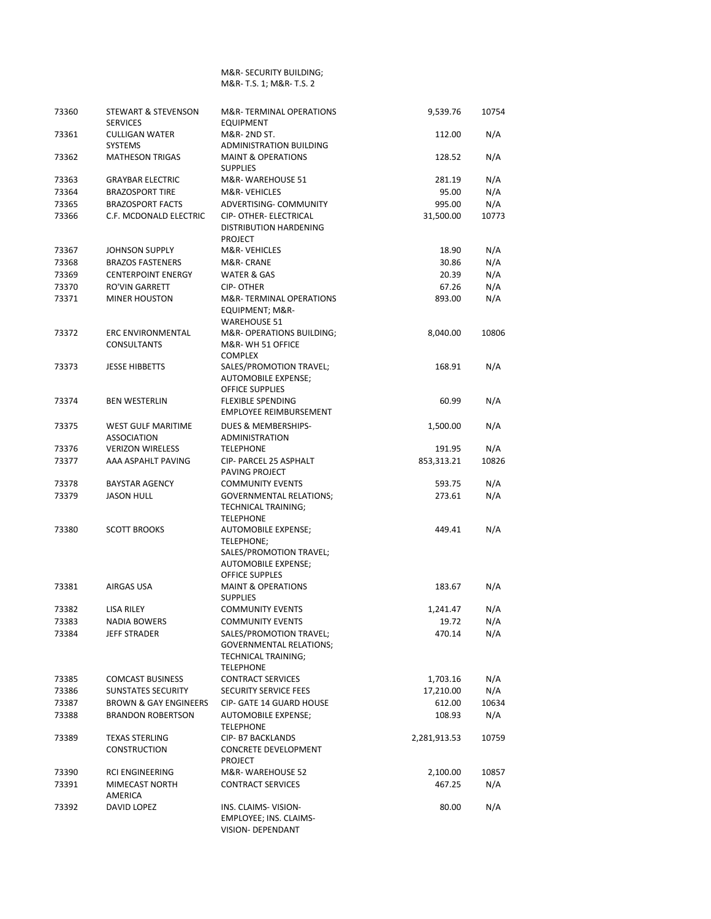#### M&R- SECURITY BUILDING; M&R- T.S. 1; M&R- T.S. 2

| 73360 | <b>STEWART &amp; STEVENSON</b><br><b>SERVICES</b> | M&R-TERMINAL OPERATIONS<br><b>EQUIPMENT</b>                                                                  | 9,539.76     | 10754 |
|-------|---------------------------------------------------|--------------------------------------------------------------------------------------------------------------|--------------|-------|
| 73361 | <b>CULLIGAN WATER</b><br><b>SYSTEMS</b>           | M&R- 2ND ST.<br>ADMINISTRATION BUILDING                                                                      | 112.00       | N/A   |
| 73362 | <b>MATHESON TRIGAS</b>                            | <b>MAINT &amp; OPERATIONS</b><br><b>SUPPLIES</b>                                                             | 128.52       | N/A   |
| 73363 | <b>GRAYBAR ELECTRIC</b>                           | M&R-WAREHOUSE 51                                                                                             | 281.19       | N/A   |
| 73364 | <b>BRAZOSPORT TIRE</b>                            | M&R-VEHICLES                                                                                                 | 95.00        | N/A   |
| 73365 | <b>BRAZOSPORT FACTS</b>                           | ADVERTISING- COMMUNITY                                                                                       | 995.00       | N/A   |
| 73366 | C.F. MCDONALD ELECTRIC                            | CIP- OTHER- ELECTRICAL<br><b>DISTRIBUTION HARDENING</b><br><b>PROJECT</b>                                    | 31,500.00    | 10773 |
| 73367 | JOHNSON SUPPLY                                    | M&R-VEHICLES                                                                                                 | 18.90        | N/A   |
| 73368 | <b>BRAZOS FASTENERS</b>                           | M&R- CRANE                                                                                                   | 30.86        | N/A   |
| 73369 | <b>CENTERPOINT ENERGY</b>                         | <b>WATER &amp; GAS</b>                                                                                       | 20.39        | N/A   |
| 73370 | <b>RO'VIN GARRETT</b>                             | <b>CIP-OTHER</b>                                                                                             | 67.26        | N/A   |
| 73371 | <b>MINER HOUSTON</b>                              | M&R-TERMINAL OPERATIONS<br>EQUIPMENT; M&R-<br><b>WAREHOUSE 51</b>                                            | 893.00       | N/A   |
| 73372 | <b>ERC ENVIRONMENTAL</b><br><b>CONSULTANTS</b>    | M&R- OPERATIONS BUILDING;<br>M&R-WH 51 OFFICE<br><b>COMPLEX</b>                                              | 8,040.00     | 10806 |
| 73373 | <b>JESSE HIBBETTS</b>                             | SALES/PROMOTION TRAVEL;<br><b>AUTOMOBILE EXPENSE;</b><br><b>OFFICE SUPPLIES</b>                              | 168.91       | N/A   |
| 73374 | <b>BEN WESTERLIN</b>                              | <b>FLEXIBLE SPENDING</b><br><b>EMPLOYEE REIMBURSEMENT</b>                                                    | 60.99        | N/A   |
| 73375 | <b>WEST GULF MARITIME</b><br><b>ASSOCIATION</b>   | DUES & MEMBERSHIPS-<br><b>ADMINISTRATION</b>                                                                 | 1,500.00     | N/A   |
| 73376 | <b>VERIZON WIRELESS</b>                           | <b>TELEPHONE</b>                                                                                             | 191.95       | N/A   |
| 73377 | AAA ASPAHLT PAVING                                | CIP- PARCEL 25 ASPHALT<br>PAVING PROJECT                                                                     | 853,313.21   | 10826 |
| 73378 | <b>BAYSTAR AGENCY</b>                             | <b>COMMUNITY EVENTS</b>                                                                                      | 593.75       | N/A   |
| 73379 | <b>JASON HULL</b>                                 | <b>GOVERNMENTAL RELATIONS;</b><br>TECHNICAL TRAINING;<br><b>TELEPHONE</b>                                    | 273.61       | N/A   |
| 73380 | <b>SCOTT BROOKS</b>                               | AUTOMOBILE EXPENSE;<br>TELEPHONE;<br>SALES/PROMOTION TRAVEL;<br>AUTOMOBILE EXPENSE;<br><b>OFFICE SUPPLES</b> | 449.41       | N/A   |
| 73381 | AIRGAS USA                                        | <b>MAINT &amp; OPERATIONS</b><br><b>SUPPLIES</b>                                                             | 183.67       | N/A   |
| 73382 | LISA RILEY                                        | <b>COMMUNITY EVENTS</b>                                                                                      | 1,241.47     | N/A   |
| 73383 | <b>NADIA BOWERS</b>                               | <b>COMMUNITY EVENTS</b>                                                                                      | 19.72        | N/A   |
| 73384 | <b>JEFF STRADER</b>                               | SALES/PROMOTION TRAVEL;<br><b>GOVERNMENTAL RELATIONS;</b><br>TECHNICAL TRAINING;<br><b>TELEPHONE</b>         | 470.14       | N/A   |
| 73385 | <b>COMCAST BUSINESS</b>                           | <b>CONTRACT SERVICES</b>                                                                                     | 1,703.16     | N/A   |
| 73386 | <b>SUNSTATES SECURITY</b>                         | <b>SECURITY SERVICE FEES</b>                                                                                 | 17,210.00    | N/A   |
| 73387 | <b>BROWN &amp; GAY ENGINEERS</b>                  | <b>CIP- GATE 14 GUARD HOUSE</b>                                                                              | 612.00       | 10634 |
| 73388 | <b>BRANDON ROBERTSON</b>                          | <b>AUTOMOBILE EXPENSE;</b><br><b>TELEPHONE</b>                                                               | 108.93       | N/A   |
| 73389 | <b>TEXAS STERLING</b><br><b>CONSTRUCTION</b>      | <b>CIP-B7 BACKLANDS</b><br>CONCRETE DEVELOPMENT<br><b>PROJECT</b>                                            | 2,281,913.53 | 10759 |
| 73390 | RCI ENGINEERING                                   | M&R-WAREHOUSE 52                                                                                             | 2,100.00     | 10857 |
| 73391 | MIMECAST NORTH<br>AMERICA                         | <b>CONTRACT SERVICES</b>                                                                                     | 467.25       | N/A   |
| 73392 | DAVID LOPEZ                                       | INS. CLAIMS-VISION-<br><b>EMPLOYEE; INS. CLAIMS-</b><br>VISION- DEPENDANT                                    | 80.00        | N/A   |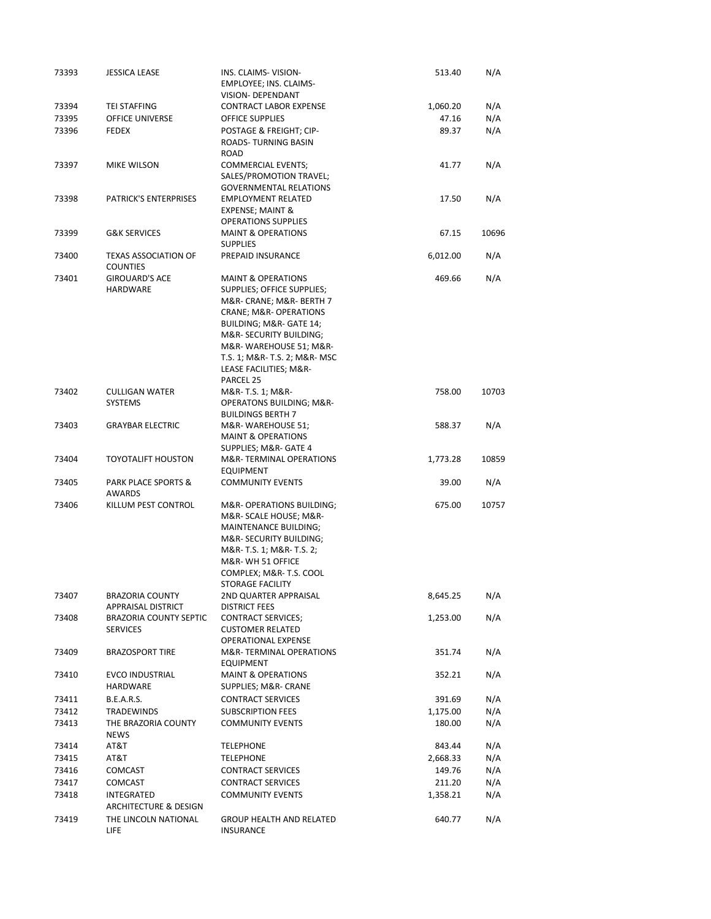| 73393 | <b>JESSICA LEASE</b>                             | INS. CLAIMS-VISION-<br><b>EMPLOYEE; INS. CLAIMS-</b>                                 | 513.40   | N/A   |
|-------|--------------------------------------------------|--------------------------------------------------------------------------------------|----------|-------|
|       |                                                  | VISION- DEPENDANT                                                                    |          |       |
| 73394 | TEI STAFFING                                     | <b>CONTRACT LABOR EXPENSE</b>                                                        | 1,060.20 | N/A   |
| 73395 | <b>OFFICE UNIVERSE</b>                           | OFFICE SUPPLIES                                                                      | 47.16    | N/A   |
| 73396 | FEDEX                                            | POSTAGE & FREIGHT; CIP-<br>ROADS-TURNING BASIN<br>ROAD                               | 89.37    | N/A   |
| 73397 | MIKE WILSON                                      | <b>COMMERCIAL EVENTS;</b><br>SALES/PROMOTION TRAVEL;                                 | 41.77    | N/A   |
| 73398 | <b>PATRICK'S ENTERPRISES</b>                     | <b>GOVERNMENTAL RELATIONS</b><br><b>EMPLOYMENT RELATED</b><br>EXPENSE; MAINT &       | 17.50    | N/A   |
| 73399 | <b>G&amp;K SERVICES</b>                          | <b>OPERATIONS SUPPLIES</b><br><b>MAINT &amp; OPERATIONS</b>                          | 67.15    | 10696 |
| 73400 | <b>TEXAS ASSOCIATION OF</b><br><b>COUNTIES</b>   | <b>SUPPLIES</b><br>PREPAID INSURANCE                                                 | 6,012.00 | N/A   |
| 73401 | <b>GIROUARD'S ACE</b><br>HARDWARE                | <b>MAINT &amp; OPERATIONS</b><br>SUPPLIES; OFFICE SUPPLIES;                          | 469.66   | N/A   |
|       |                                                  | M&R- CRANE; M&R- BERTH 7<br>CRANE; M&R- OPERATIONS<br>BUILDING; M&R- GATE 14;        |          |       |
|       |                                                  | M&R- SECURITY BUILDING;<br>M&R-WAREHOUSE 51; M&R-                                    |          |       |
|       |                                                  | T.S. 1; M&R- T.S. 2; M&R- MSC<br>LEASE FACILITIES; M&R-                              |          |       |
|       | <b>CULLIGAN WATER</b>                            | PARCEL 25                                                                            |          |       |
| 73402 | <b>SYSTEMS</b>                                   | M&R- T.S. 1; M&R-<br><b>OPERATONS BUILDING; M&amp;R-</b><br><b>BUILDINGS BERTH 7</b> | 758.00   | 10703 |
| 73403 | <b>GRAYBAR ELECTRIC</b>                          | M&R-WAREHOUSE 51;<br><b>MAINT &amp; OPERATIONS</b><br>SUPPLIES; M&R- GATE 4          | 588.37   | N/A   |
| 73404 | <b>TOYOTALIFT HOUSTON</b>                        | M&R-TERMINAL OPERATIONS<br><b>EQUIPMENT</b>                                          | 1,773.28 | 10859 |
| 73405 | PARK PLACE SPORTS &<br>AWARDS                    | <b>COMMUNITY EVENTS</b>                                                              | 39.00    | N/A   |
| 73406 | KILLUM PEST CONTROL                              | M&R-OPERATIONS BUILDING;<br>M&R- SCALE HOUSE; M&R-                                   | 675.00   | 10757 |
|       |                                                  | <b>MAINTENANCE BUILDING:</b><br>M&R- SECURITY BUILDING;                              |          |       |
|       |                                                  | M&R- T.S. 1; M&R- T.S. 2;<br>M&R-WH 51 OFFICE                                        |          |       |
|       |                                                  | COMPLEX; M&R-T.S. COOL<br>STORAGE FACILITY                                           |          |       |
| 73407 | <b>BRAZORIA COUNTY</b>                           | 2ND QUARTER APPRAISAL                                                                | 8,645.25 | N/A   |
|       | <b>APPRAISAL DISTRICT</b>                        | <b>DISTRICT FEES</b>                                                                 |          |       |
| 73408 | <b>BRAZORIA COUNTY SEPTIC</b><br><b>SERVICES</b> | <b>CONTRACT SERVICES:</b><br><b>CUSTOMER RELATED</b><br><b>OPERATIONAL EXPENSE</b>   | 1,253.00 | N/A   |
| 73409 | <b>BRAZOSPORT TIRE</b>                           | M&R-TERMINAL OPERATIONS<br><b>EQUIPMENT</b>                                          | 351.74   | N/A   |
| 73410 | <b>EVCO INDUSTRIAL</b><br>HARDWARE               | <b>MAINT &amp; OPERATIONS</b><br>SUPPLIES; M&R- CRANE                                | 352.21   | N/A   |
| 73411 | <b>B.E.A.R.S.</b>                                | <b>CONTRACT SERVICES</b>                                                             | 391.69   | N/A   |
| 73412 | <b>TRADEWINDS</b>                                | <b>SUBSCRIPTION FEES</b>                                                             | 1,175.00 | N/A   |
| 73413 | THE BRAZORIA COUNTY<br><b>NEWS</b>               | <b>COMMUNITY EVENTS</b>                                                              | 180.00   | N/A   |
| 73414 | AT&T                                             | <b>TELEPHONE</b>                                                                     | 843.44   | N/A   |
| 73415 | AT&T                                             | <b>TELEPHONE</b>                                                                     | 2,668.33 | N/A   |
| 73416 | COMCAST                                          | <b>CONTRACT SERVICES</b>                                                             | 149.76   | N/A   |
| 73417 | COMCAST                                          | <b>CONTRACT SERVICES</b>                                                             | 211.20   | N/A   |
| 73418 | INTEGRATED<br>ARCHITECTURE & DESIGN              | <b>COMMUNITY EVENTS</b>                                                              | 1,358.21 | N/A   |
| 73419 | THE LINCOLN NATIONAL<br>LIFE                     | <b>GROUP HEALTH AND RELATED</b><br>INSURANCE                                         | 640.77   | N/A   |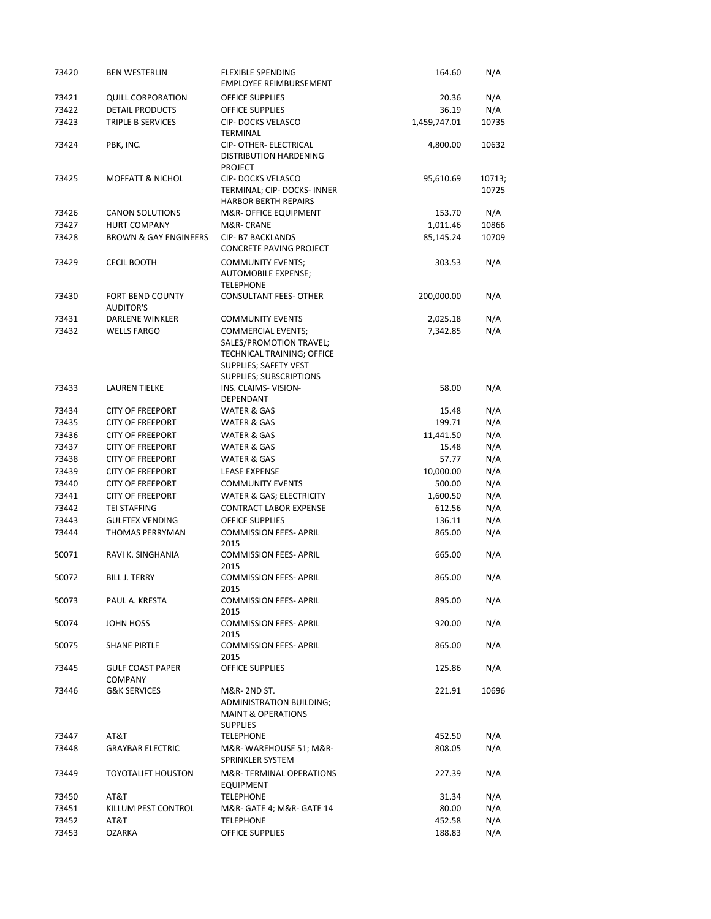| 73420          | <b>BEN WESTERLIN</b>                        | <b>FLEXIBLE SPENDING</b><br><b>EMPLOYEE REIMBURSEMENT</b>                                                                              | 164.60       | N/A             |
|----------------|---------------------------------------------|----------------------------------------------------------------------------------------------------------------------------------------|--------------|-----------------|
| 73421          | <b>QUILL CORPORATION</b>                    | <b>OFFICE SUPPLIES</b>                                                                                                                 | 20.36        | N/A             |
| 73422          | DETAIL PRODUCTS                             | OFFICE SUPPLIES                                                                                                                        | 36.19        | N/A             |
| 73423          | TRIPLE B SERVICES                           | <b>CIP-DOCKS VELASCO</b><br>TERMINAL                                                                                                   | 1,459,747.01 | 10735           |
| 73424          | PBK, INC.                                   | CIP- OTHER- ELECTRICAL<br>DISTRIBUTION HARDENING<br><b>PROJECT</b>                                                                     | 4,800.00     | 10632           |
| 73425          | <b>MOFFATT &amp; NICHOL</b>                 | <b>CIP-DOCKS VELASCO</b><br>TERMINAL; CIP- DOCKS- INNER<br><b>HARBOR BERTH REPAIRS</b>                                                 | 95,610.69    | 10713;<br>10725 |
| 73426          | <b>CANON SOLUTIONS</b>                      | M&R- OFFICE EQUIPMENT                                                                                                                  | 153.70       | N/A             |
| 73427          | <b>HURT COMPANY</b>                         | M&R-CRANE                                                                                                                              | 1,011.46     | 10866           |
| 73428          | <b>BROWN &amp; GAY ENGINEERS</b>            | <b>CIP- B7 BACKLANDS</b><br><b>CONCRETE PAVING PROJECT</b>                                                                             | 85,145.24    | 10709           |
| 73429          | <b>CECIL BOOTH</b>                          | <b>COMMUNITY EVENTS;</b><br>AUTOMOBILE EXPENSE;<br><b>TELEPHONE</b>                                                                    | 303.53       | N/A             |
| 73430          | <b>FORT BEND COUNTY</b><br><b>AUDITOR'S</b> | <b>CONSULTANT FEES- OTHER</b>                                                                                                          | 200,000.00   | N/A             |
| 73431          | DARLENE WINKLER                             | <b>COMMUNITY EVENTS</b>                                                                                                                | 2,025.18     | N/A             |
| 73432          | <b>WELLS FARGO</b>                          | <b>COMMERCIAL EVENTS;</b><br>SALES/PROMOTION TRAVEL;<br>TECHNICAL TRAINING; OFFICE<br>SUPPLIES; SAFETY VEST<br>SUPPLIES; SUBSCRIPTIONS | 7,342.85     | N/A             |
| 73433          | <b>LAUREN TIELKE</b>                        | INS. CLAIMS-VISION-<br>DEPENDANT                                                                                                       | 58.00        | N/A             |
| 73434          | <b>CITY OF FREEPORT</b>                     | WATER & GAS                                                                                                                            | 15.48        | N/A             |
| 73435          | <b>CITY OF FREEPORT</b>                     | WATER & GAS                                                                                                                            | 199.71       | N/A             |
| 73436          | <b>CITY OF FREEPORT</b>                     | WATER & GAS                                                                                                                            | 11,441.50    | N/A             |
| 73437          | <b>CITY OF FREEPORT</b>                     | WATER & GAS                                                                                                                            | 15.48        | N/A             |
| 73438          | <b>CITY OF FREEPORT</b>                     | WATER & GAS                                                                                                                            | 57.77        | N/A             |
| 73439          | <b>CITY OF FREEPORT</b>                     | <b>LEASE EXPENSE</b>                                                                                                                   | 10,000.00    | N/A             |
| 73440          | <b>CITY OF FREEPORT</b>                     | <b>COMMUNITY EVENTS</b>                                                                                                                | 500.00       | N/A             |
| 73441          | <b>CITY OF FREEPORT</b>                     | WATER & GAS; ELECTRICITY                                                                                                               | 1,600.50     | N/A             |
| 73442          | <b>TEI STAFFING</b>                         | <b>CONTRACT LABOR EXPENSE</b>                                                                                                          | 612.56       | N/A             |
| 73443          | <b>GULFTEX VENDING</b>                      | <b>OFFICE SUPPLIES</b>                                                                                                                 | 136.11       | N/A             |
| 73444          | <b>THOMAS PERRYMAN</b>                      | <b>COMMISSION FEES- APRIL</b><br>2015                                                                                                  | 865.00       | N/A             |
| 50071          | RAVI K. SINGHANIA                           | <b>COMMISSION FEES- APRIL</b><br>2015                                                                                                  | 665.00       | N/A             |
| 50072          | <b>BILL J. TERRY</b>                        | <b>COMMISSION FEES- APRIL</b><br>2015                                                                                                  | 865.00       | N/A             |
| 50073          | PAUL A. KRESTA                              | <b>COMMISSION FEES- APRIL</b><br>2015                                                                                                  | 895.00       | N/A             |
| 50074          | JOHN HOSS                                   | <b>COMMISSION FEES- APRIL</b><br>2015                                                                                                  | 920.00       | N/A             |
| 50075<br>73445 | <b>SHANE PIRTLE</b>                         | <b>COMMISSION FEES- APRIL</b><br>2015                                                                                                  | 865.00       | N/A<br>N/A      |
|                | <b>GULF COAST PAPER</b><br><b>COMPANY</b>   | OFFICE SUPPLIES                                                                                                                        | 125.86       |                 |
| 73446          | <b>G&amp;K SERVICES</b>                     | M&R- 2ND ST.<br><b>ADMINISTRATION BUILDING;</b><br><b>MAINT &amp; OPERATIONS</b><br><b>SUPPLIES</b>                                    | 221.91       | 10696           |
| 73447          | AT&T                                        | <b>TELEPHONE</b>                                                                                                                       | 452.50       | N/A             |
| 73448          | <b>GRAYBAR ELECTRIC</b>                     | M&R-WAREHOUSE 51; M&R-<br>SPRINKLER SYSTEM                                                                                             | 808.05       | N/A             |
| 73449          | <b>TOYOTALIFT HOUSTON</b>                   | M&R-TERMINAL OPERATIONS<br><b>EQUIPMENT</b>                                                                                            | 227.39       | N/A             |
| 73450          | AT&T                                        | <b>TELEPHONE</b>                                                                                                                       | 31.34        | N/A             |
| 73451          | KILLUM PEST CONTROL                         | M&R- GATE 4; M&R- GATE 14                                                                                                              | 80.00        | N/A             |
| 73452          | AT&T                                        | <b>TELEPHONE</b>                                                                                                                       | 452.58       | N/A             |
| 73453          | <b>OZARKA</b>                               | OFFICE SUPPLIES                                                                                                                        | 188.83       | N/A             |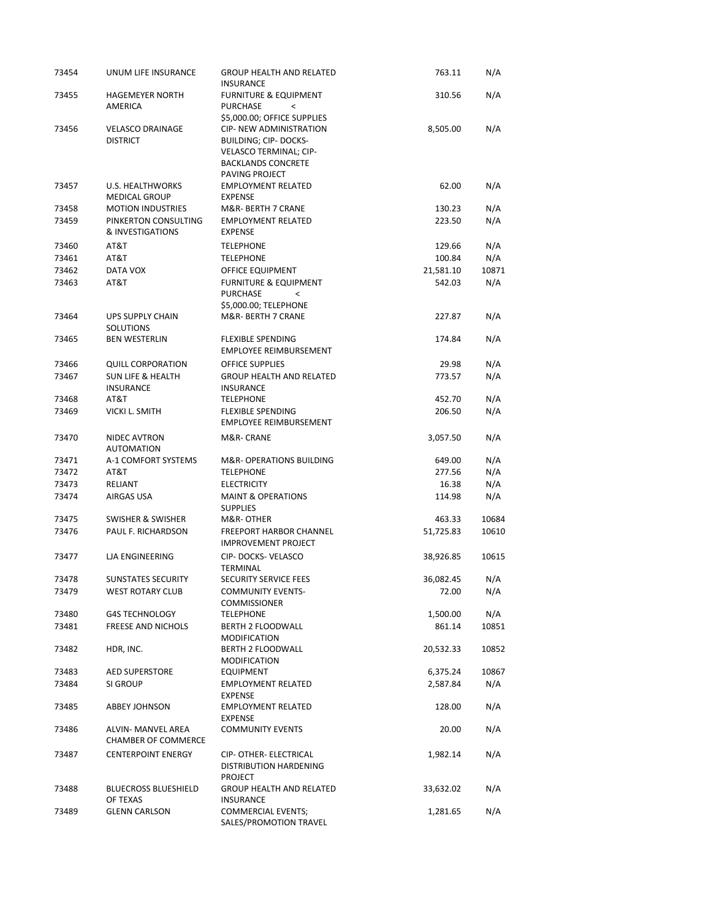| 73454 | UNUM LIFE INSURANCE                              | <b>GROUP HEALTH AND RELATED</b>                                                                          | 763.11    | N/A   |
|-------|--------------------------------------------------|----------------------------------------------------------------------------------------------------------|-----------|-------|
| 73455 | <b>HAGEMEYER NORTH</b><br>AMERICA                | <b>INSURANCE</b><br><b>FURNITURE &amp; EQUIPMENT</b><br><b>PURCHASE</b><br>$\overline{\phantom{a}}$      | 310.56    | N/A   |
| 73456 | <b>VELASCO DRAINAGE</b>                          | \$5,000.00; OFFICE SUPPLIES<br>CIP- NEW ADMINISTRATION                                                   | 8,505.00  | N/A   |
|       | <b>DISTRICT</b>                                  | <b>BUILDING; CIP- DOCKS-</b><br>VELASCO TERMINAL; CIP-<br><b>BACKLANDS CONCRETE</b><br>PAVING PROJECT    |           |       |
| 73457 | U.S. HEALTHWORKS<br><b>MEDICAL GROUP</b>         | <b>EMPLOYMENT RELATED</b><br><b>EXPENSE</b>                                                              | 62.00     | N/A   |
| 73458 | <b>MOTION INDUSTRIES</b>                         | M&R- BERTH 7 CRANE                                                                                       | 130.23    | N/A   |
| 73459 | PINKERTON CONSULTING<br>& INVESTIGATIONS         | <b>EMPLOYMENT RELATED</b><br><b>EXPENSE</b>                                                              | 223.50    | N/A   |
| 73460 | AT&T                                             | <b>TELEPHONE</b>                                                                                         | 129.66    | N/A   |
| 73461 | AT&T                                             | <b>TELEPHONE</b>                                                                                         | 100.84    | N/A   |
| 73462 | DATA VOX                                         | OFFICE EQUIPMENT                                                                                         | 21,581.10 | 10871 |
| 73463 | AT&T                                             | <b>FURNITURE &amp; EQUIPMENT</b><br><b>PURCHASE</b><br>$\overline{\phantom{0}}$<br>\$5,000.00; TELEPHONE | 542.03    | N/A   |
| 73464 | <b>UPS SUPPLY CHAIN</b><br><b>SOLUTIONS</b>      | M&R- BERTH 7 CRANE                                                                                       | 227.87    | N/A   |
| 73465 | <b>BEN WESTERLIN</b>                             | <b>FLEXIBLE SPENDING</b><br>EMPLOYEE REIMBURSEMENT                                                       | 174.84    | N/A   |
| 73466 | <b>QUILL CORPORATION</b>                         | <b>OFFICE SUPPLIES</b>                                                                                   | 29.98     | N/A   |
| 73467 | <b>SUN LIFE &amp; HEALTH</b><br><b>INSURANCE</b> | <b>GROUP HEALTH AND RELATED</b><br><b>INSURANCE</b>                                                      | 773.57    | N/A   |
| 73468 | AT&T                                             | <b>TELEPHONE</b>                                                                                         | 452.70    | N/A   |
| 73469 | <b>VICKI L. SMITH</b>                            | <b>FLEXIBLE SPENDING</b><br><b>EMPLOYEE REIMBURSEMENT</b>                                                | 206.50    | N/A   |
| 73470 | NIDEC AVTRON<br><b>AUTOMATION</b>                | M&R- CRANE                                                                                               | 3,057.50  | N/A   |
| 73471 | A-1 COMFORT SYSTEMS                              | M&R- OPERATIONS BUILDING                                                                                 | 649.00    | N/A   |
| 73472 | AT&T                                             | <b>TELEPHONE</b>                                                                                         | 277.56    | N/A   |
| 73473 | RELIANT                                          | <b>ELECTRICITY</b>                                                                                       | 16.38     | N/A   |
| 73474 | AIRGAS USA                                       | <b>MAINT &amp; OPERATIONS</b><br><b>SUPPLIES</b>                                                         | 114.98    | N/A   |
| 73475 | <b>SWISHER &amp; SWISHER</b>                     | M&R- OTHER                                                                                               | 463.33    | 10684 |
| 73476 | PAUL F. RICHARDSON                               | <b>FREEPORT HARBOR CHANNEL</b><br><b>IMPROVEMENT PROJECT</b>                                             | 51,725.83 | 10610 |
| 73477 | <b>LIA ENGINEERING</b>                           | CIP-DOCKS-VELASCO<br><b>TERMINAL</b>                                                                     | 38,926.85 | 10615 |
| 73478 | <b>SUNSTATES SECURITY</b>                        | <b>SECURITY SERVICE FEES</b>                                                                             | 36,082.45 | N/A   |
| 73479 | WEST ROTARY CLUB                                 | <b>COMMUNITY EVENTS-</b><br><b>COMMISSIONER</b>                                                          | 72.00     | N/A   |
| 73480 | <b>G4S TECHNOLOGY</b>                            | <b>TELEPHONE</b>                                                                                         | 1,500.00  | N/A   |
| 73481 | <b>FREESE AND NICHOLS</b>                        | BERTH 2 FLOODWALL<br><b>MODIFICATION</b>                                                                 | 861.14    | 10851 |
| 73482 | HDR, INC.                                        | BERTH 2 FLOODWALL<br>MODIFICATION                                                                        | 20,532.33 | 10852 |
| 73483 | <b>AED SUPERSTORE</b>                            | EQUIPMENT                                                                                                | 6,375.24  | 10867 |
| 73484 | SI GROUP                                         | <b>EMPLOYMENT RELATED</b><br><b>EXPENSE</b>                                                              | 2,587.84  | N/A   |
| 73485 | ABBEY JOHNSON                                    | <b>EMPLOYMENT RELATED</b><br><b>EXPENSE</b>                                                              | 128.00    | N/A   |
| 73486 | ALVIN- MANVEL AREA<br><b>CHAMBER OF COMMERCE</b> | <b>COMMUNITY EVENTS</b>                                                                                  | 20.00     | N/A   |
| 73487 | <b>CENTERPOINT ENERGY</b>                        | CIP- OTHER- ELECTRICAL<br>DISTRIBUTION HARDENING<br>PROJECT                                              | 1,982.14  | N/A   |
| 73488 | <b>BLUECROSS BLUESHIELD</b><br>OF TEXAS          | <b>GROUP HEALTH AND RELATED</b><br>INSURANCE                                                             | 33,632.02 | N/A   |
| 73489 | <b>GLENN CARLSON</b>                             | <b>COMMERCIAL EVENTS;</b><br>SALES/PROMOTION TRAVEL                                                      | 1,281.65  | N/A   |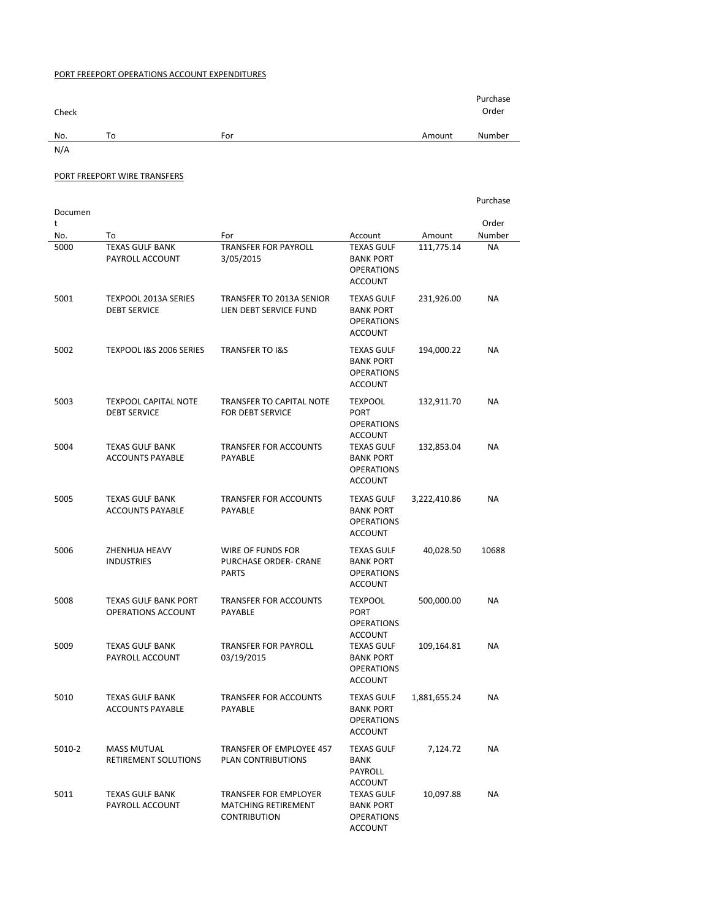## PORT FREEPORT OPERATIONS ACCOUNT EXPENDITURES

| Check |     |        |        |  |
|-------|-----|--------|--------|--|
| To    | For | Amount | Number |  |
|       |     |        |        |  |
|       |     |        |        |  |

## PORT FREEPORT WIRE TRANSFERS

|              |                                                    |                                                                                   |                                                                              |              | Purchase  |
|--------------|----------------------------------------------------|-----------------------------------------------------------------------------------|------------------------------------------------------------------------------|--------------|-----------|
| Documen<br>t |                                                    |                                                                                   |                                                                              |              | Order     |
| No.          | To                                                 | For                                                                               | Account                                                                      | Amount       | Number    |
| 5000         | <b>TEXAS GULF BANK</b><br>PAYROLL ACCOUNT          | <b>TRANSFER FOR PAYROLL</b><br>3/05/2015                                          | <b>TEXAS GULF</b><br><b>BANK PORT</b><br><b>OPERATIONS</b><br>ACCOUNT        | 111,775.14   | <b>NA</b> |
| 5001         | <b>TEXPOOL 2013A SERIES</b><br><b>DEBT SERVICE</b> | TRANSFER TO 2013A SENIOR<br>LIEN DEBT SERVICE FUND                                | <b>TEXAS GULF</b><br><b>BANK PORT</b><br><b>OPERATIONS</b><br><b>ACCOUNT</b> | 231,926.00   | <b>NA</b> |
| 5002         | TEXPOOL I&S 2006 SERIES                            | <b>TRANSFER TO I&amp;S</b>                                                        | <b>TEXAS GULF</b><br><b>BANK PORT</b><br><b>OPERATIONS</b><br><b>ACCOUNT</b> | 194,000.22   | <b>NA</b> |
| 5003         | <b>TEXPOOL CAPITAL NOTE</b><br><b>DEBT SERVICE</b> | <b>TRANSFER TO CAPITAL NOTE</b><br>FOR DEBT SERVICE                               | <b>TEXPOOL</b><br><b>PORT</b><br><b>OPERATIONS</b><br>ACCOUNT                | 132,911.70   | <b>NA</b> |
| 5004         | <b>TEXAS GULF BANK</b><br><b>ACCOUNTS PAYABLE</b>  | <b>TRANSFER FOR ACCOUNTS</b><br>PAYABLE                                           | <b>TEXAS GULF</b><br><b>BANK PORT</b><br><b>OPERATIONS</b><br><b>ACCOUNT</b> | 132,853.04   | <b>NA</b> |
| 5005         | <b>TEXAS GULF BANK</b><br><b>ACCOUNTS PAYABLE</b>  | <b>TRANSFER FOR ACCOUNTS</b><br><b>PAYABLE</b>                                    | <b>TEXAS GULF</b><br><b>BANK PORT</b><br><b>OPERATIONS</b><br>ACCOUNT        | 3,222,410.86 | <b>NA</b> |
| 5006         | ZHENHUA HEAVY<br><b>INDUSTRIES</b>                 | WIRE OF FUNDS FOR<br>PURCHASE ORDER- CRANE<br><b>PARTS</b>                        | <b>TEXAS GULF</b><br><b>BANK PORT</b><br><b>OPERATIONS</b><br><b>ACCOUNT</b> | 40,028.50    | 10688     |
| 5008         | <b>TEXAS GULF BANK PORT</b><br>OPERATIONS ACCOUNT  | <b>TRANSFER FOR ACCOUNTS</b><br>PAYABLE                                           | <b>TEXPOOL</b><br><b>PORT</b><br><b>OPERATIONS</b><br>ACCOUNT                | 500,000.00   | <b>NA</b> |
| 5009         | <b>TEXAS GULF BANK</b><br>PAYROLL ACCOUNT          | <b>TRANSFER FOR PAYROLL</b><br>03/19/2015                                         | <b>TEXAS GULF</b><br><b>BANK PORT</b><br><b>OPERATIONS</b><br><b>ACCOUNT</b> | 109,164.81   | ΝA        |
| 5010         | <b>TEXAS GULF BANK</b><br><b>ACCOUNTS PAYABLE</b>  | <b>TRANSFER FOR ACCOUNTS</b><br>PAYABLE                                           | <b>TEXAS GULF</b><br><b>BANK PORT</b><br>OPERATIONS<br><b>ACCOUNT</b>        | 1,881,655.24 | <b>NA</b> |
| 5010-2       | <b>MASS MUTUAL</b><br>RETIREMENT SOLUTIONS         | TRANSFER OF EMPLOYEE 457<br>PLAN CONTRIBUTIONS                                    | <b>TEXAS GULF</b><br><b>BANK</b><br>PAYROLL<br>ACCOUNT                       | 7,124.72     | ΝA        |
| 5011         | TEXAS GULF BANK<br>PAYROLL ACCOUNT                 | <b>TRANSFER FOR EMPLOYER</b><br><b>MATCHING RETIREMENT</b><br><b>CONTRIBUTION</b> | <b>TEXAS GULF</b><br><b>BANK PORT</b><br>OPERATIONS<br><b>ACCOUNT</b>        | 10,097.88    | NA        |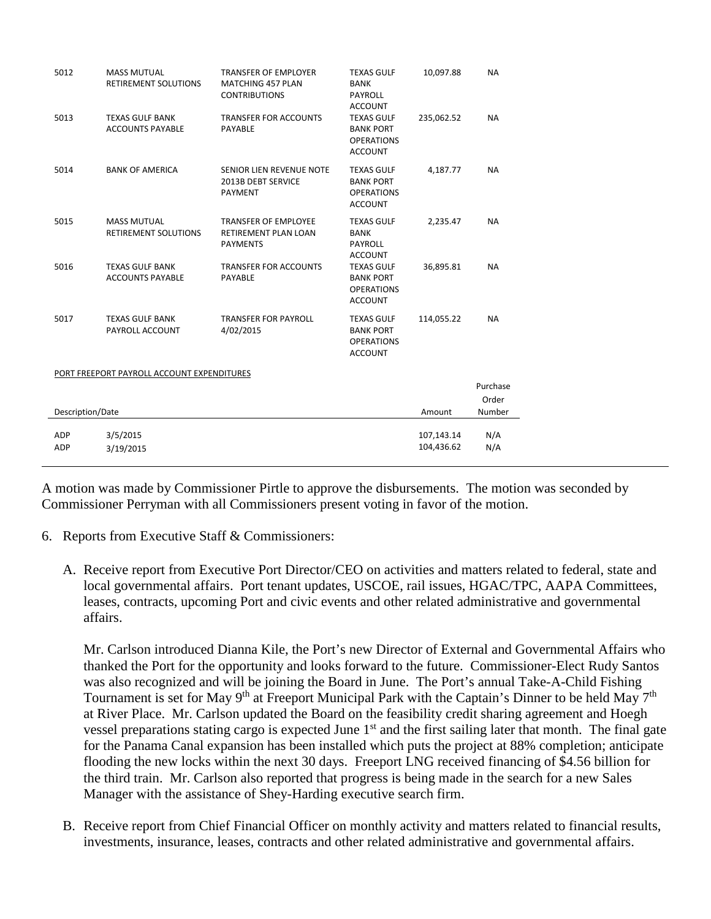| 5012              | <b>MASS MUTUAL</b><br><b>RETIREMENT SOLUTIONS</b> | <b>TRANSFER OF EMPLOYER</b><br><b>MATCHING 457 PLAN</b><br><b>CONTRIBUTIONS</b> | <b>TEXAS GULF</b><br><b>BANK</b><br><b>PAYROLL</b><br><b>ACCOUNT</b>         | 10,097.88                | <b>NA</b>  |
|-------------------|---------------------------------------------------|---------------------------------------------------------------------------------|------------------------------------------------------------------------------|--------------------------|------------|
| 5013              | <b>TEXAS GULF BANK</b><br><b>ACCOUNTS PAYABLE</b> | <b>TRANSFER FOR ACCOUNTS</b><br><b>PAYABLE</b>                                  | <b>TEXAS GULF</b><br><b>BANK PORT</b><br><b>OPERATIONS</b><br><b>ACCOUNT</b> | 235,062.52               | <b>NA</b>  |
| 5014              | <b>BANK OF AMERICA</b>                            | SENIOR LIEN REVENUE NOTE<br>2013B DEBT SERVICE<br><b>PAYMENT</b>                | <b>TEXAS GULF</b><br><b>BANK PORT</b><br><b>OPERATIONS</b><br><b>ACCOUNT</b> | 4,187.77                 | <b>NA</b>  |
| 5015              | <b>MASS MUTUAL</b><br><b>RETIREMENT SOLUTIONS</b> | <b>TRANSFER OF EMPLOYEE</b><br>RETIREMENT PLAN LOAN<br><b>PAYMENTS</b>          | <b>TEXAS GULF</b><br><b>BANK</b><br><b>PAYROLL</b><br><b>ACCOUNT</b>         | 2,235.47                 | <b>NA</b>  |
| 5016              | <b>TEXAS GULF BANK</b><br><b>ACCOUNTS PAYABLE</b> | <b>TRANSFER FOR ACCOUNTS</b><br>PAYABLE                                         | <b>TEXAS GULF</b><br><b>BANK PORT</b><br><b>OPERATIONS</b><br><b>ACCOUNT</b> | 36,895.81                | <b>NA</b>  |
| 5017              | <b>TEXAS GULF BANK</b><br>PAYROLL ACCOUNT         | <b>TRANSFER FOR PAYROLL</b><br>4/02/2015                                        | <b>TEXAS GULF</b><br><b>BANK PORT</b><br><b>OPERATIONS</b><br><b>ACCOUNT</b> | 114,055.22               | <b>NA</b>  |
|                   | PORT FREEPORT PAYROLL ACCOUNT EXPENDITURES        |                                                                                 |                                                                              |                          |            |
|                   |                                                   |                                                                                 |                                                                              |                          | Purchase   |
| Description/Date  |                                                   | Amount                                                                          | Order<br>Number                                                              |                          |            |
|                   |                                                   |                                                                                 |                                                                              |                          |            |
| ADP<br><b>ADP</b> | 3/5/2015<br>3/19/2015                             |                                                                                 |                                                                              | 107,143.14<br>104,436.62 | N/A<br>N/A |
|                   |                                                   |                                                                                 |                                                                              |                          |            |

A motion was made by Commissioner Pirtle to approve the disbursements. The motion was seconded by Commissioner Perryman with all Commissioners present voting in favor of the motion.

- 6. Reports from Executive Staff & Commissioners:
	- A. Receive report from Executive Port Director/CEO on activities and matters related to federal, state and local governmental affairs. Port tenant updates, USCOE, rail issues, HGAC/TPC, AAPA Committees, leases, contracts, upcoming Port and civic events and other related administrative and governmental affairs.

Mr. Carlson introduced Dianna Kile, the Port's new Director of External and Governmental Affairs who thanked the Port for the opportunity and looks forward to the future. Commissioner-Elect Rudy Santos was also recognized and will be joining the Board in June. The Port's annual Take-A-Child Fishing Tournament is set for May 9<sup>th</sup> at Freeport Municipal Park with the Captain's Dinner to be held May 7<sup>th</sup> at River Place. Mr. Carlson updated the Board on the feasibility credit sharing agreement and Hoegh vessel preparations stating cargo is expected June 1<sup>st</sup> and the first sailing later that month. The final gate for the Panama Canal expansion has been installed which puts the project at 88% completion; anticipate flooding the new locks within the next 30 days. Freeport LNG received financing of \$4.56 billion for the third train. Mr. Carlson also reported that progress is being made in the search for a new Sales Manager with the assistance of Shey-Harding executive search firm.

B. Receive report from Chief Financial Officer on monthly activity and matters related to financial results, investments, insurance, leases, contracts and other related administrative and governmental affairs.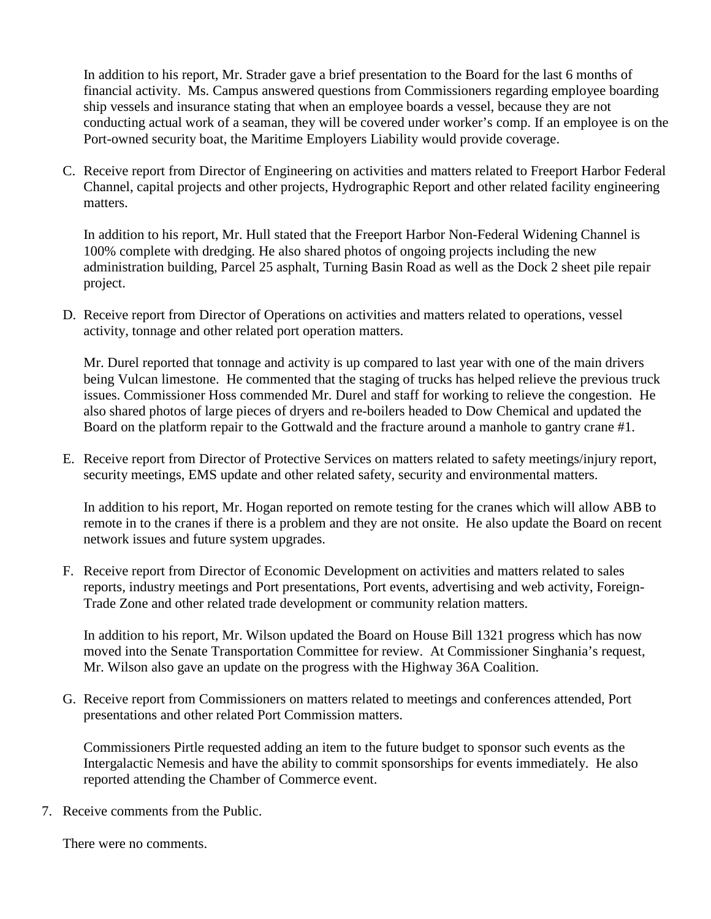In addition to his report, Mr. Strader gave a brief presentation to the Board for the last 6 months of financial activity. Ms. Campus answered questions from Commissioners regarding employee boarding ship vessels and insurance stating that when an employee boards a vessel, because they are not conducting actual work of a seaman, they will be covered under worker's comp. If an employee is on the Port-owned security boat, the Maritime Employers Liability would provide coverage.

C. Receive report from Director of Engineering on activities and matters related to Freeport Harbor Federal Channel, capital projects and other projects, Hydrographic Report and other related facility engineering matters.

In addition to his report, Mr. Hull stated that the Freeport Harbor Non-Federal Widening Channel is 100% complete with dredging. He also shared photos of ongoing projects including the new administration building, Parcel 25 asphalt, Turning Basin Road as well as the Dock 2 sheet pile repair project.

D. Receive report from Director of Operations on activities and matters related to operations, vessel activity, tonnage and other related port operation matters.

Mr. Durel reported that tonnage and activity is up compared to last year with one of the main drivers being Vulcan limestone. He commented that the staging of trucks has helped relieve the previous truck issues. Commissioner Hoss commended Mr. Durel and staff for working to relieve the congestion. He also shared photos of large pieces of dryers and re-boilers headed to Dow Chemical and updated the Board on the platform repair to the Gottwald and the fracture around a manhole to gantry crane #1.

E. Receive report from Director of Protective Services on matters related to safety meetings/injury report, security meetings, EMS update and other related safety, security and environmental matters.

In addition to his report, Mr. Hogan reported on remote testing for the cranes which will allow ABB to remote in to the cranes if there is a problem and they are not onsite. He also update the Board on recent network issues and future system upgrades.

F. Receive report from Director of Economic Development on activities and matters related to sales reports, industry meetings and Port presentations, Port events, advertising and web activity, Foreign-Trade Zone and other related trade development or community relation matters.

In addition to his report, Mr. Wilson updated the Board on House Bill 1321 progress which has now moved into the Senate Transportation Committee for review. At Commissioner Singhania's request, Mr. Wilson also gave an update on the progress with the Highway 36A Coalition.

G. Receive report from Commissioners on matters related to meetings and conferences attended, Port presentations and other related Port Commission matters.

Commissioners Pirtle requested adding an item to the future budget to sponsor such events as the Intergalactic Nemesis and have the ability to commit sponsorships for events immediately. He also reported attending the Chamber of Commerce event.

7. Receive comments from the Public.

There were no comments.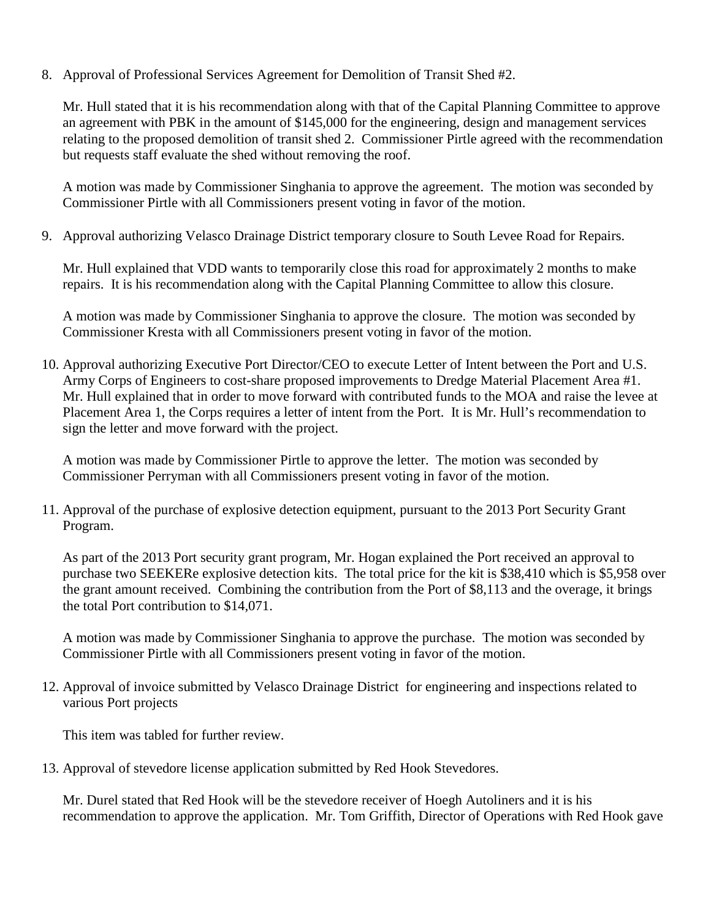8. Approval of Professional Services Agreement for Demolition of Transit Shed #2.

Mr. Hull stated that it is his recommendation along with that of the Capital Planning Committee to approve an agreement with PBK in the amount of \$145,000 for the engineering, design and management services relating to the proposed demolition of transit shed 2. Commissioner Pirtle agreed with the recommendation but requests staff evaluate the shed without removing the roof.

A motion was made by Commissioner Singhania to approve the agreement. The motion was seconded by Commissioner Pirtle with all Commissioners present voting in favor of the motion.

9. Approval authorizing Velasco Drainage District temporary closure to South Levee Road for Repairs.

Mr. Hull explained that VDD wants to temporarily close this road for approximately 2 months to make repairs. It is his recommendation along with the Capital Planning Committee to allow this closure.

A motion was made by Commissioner Singhania to approve the closure. The motion was seconded by Commissioner Kresta with all Commissioners present voting in favor of the motion.

10. Approval authorizing Executive Port Director/CEO to execute Letter of Intent between the Port and U.S. Army Corps of Engineers to cost-share proposed improvements to Dredge Material Placement Area #1. Mr. Hull explained that in order to move forward with contributed funds to the MOA and raise the levee at Placement Area 1, the Corps requires a letter of intent from the Port. It is Mr. Hull's recommendation to sign the letter and move forward with the project.

A motion was made by Commissioner Pirtle to approve the letter. The motion was seconded by Commissioner Perryman with all Commissioners present voting in favor of the motion.

11. Approval of the purchase of explosive detection equipment, pursuant to the 2013 Port Security Grant Program.

As part of the 2013 Port security grant program, Mr. Hogan explained the Port received an approval to purchase two SEEKERe explosive detection kits. The total price for the kit is \$38,410 which is \$5,958 over the grant amount received. Combining the contribution from the Port of \$8,113 and the overage, it brings the total Port contribution to \$14,071.

A motion was made by Commissioner Singhania to approve the purchase. The motion was seconded by Commissioner Pirtle with all Commissioners present voting in favor of the motion.

12. Approval of invoice submitted by Velasco Drainage District for engineering and inspections related to various Port projects

This item was tabled for further review.

13. Approval of stevedore license application submitted by Red Hook Stevedores.

Mr. Durel stated that Red Hook will be the stevedore receiver of Hoegh Autoliners and it is his recommendation to approve the application. Mr. Tom Griffith, Director of Operations with Red Hook gave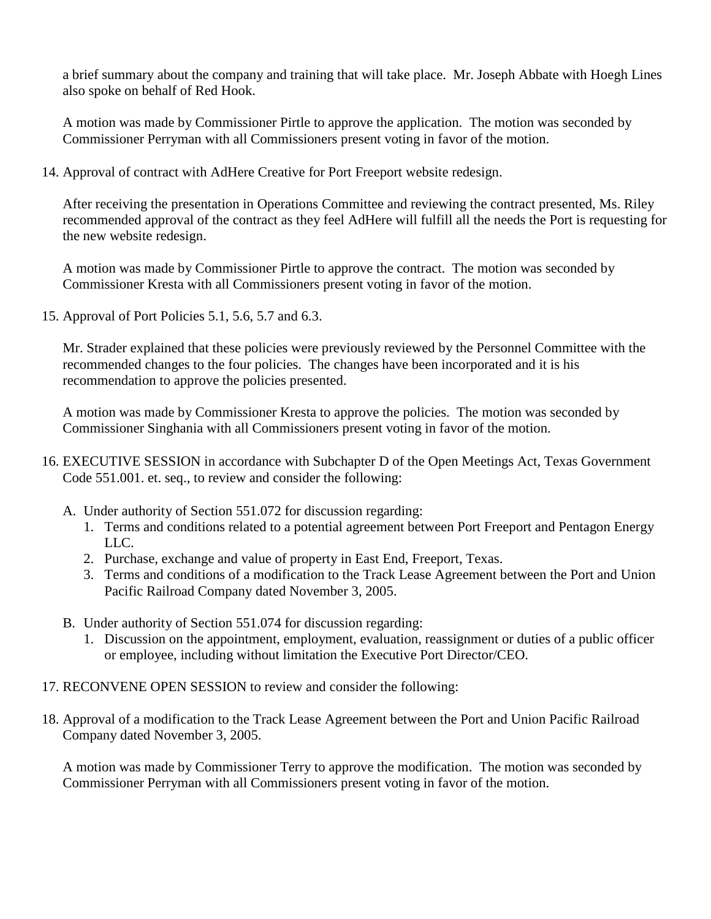a brief summary about the company and training that will take place. Mr. Joseph Abbate with Hoegh Lines also spoke on behalf of Red Hook.

A motion was made by Commissioner Pirtle to approve the application. The motion was seconded by Commissioner Perryman with all Commissioners present voting in favor of the motion.

14. Approval of contract with AdHere Creative for Port Freeport website redesign.

After receiving the presentation in Operations Committee and reviewing the contract presented, Ms. Riley recommended approval of the contract as they feel AdHere will fulfill all the needs the Port is requesting for the new website redesign.

A motion was made by Commissioner Pirtle to approve the contract. The motion was seconded by Commissioner Kresta with all Commissioners present voting in favor of the motion.

15. Approval of Port Policies 5.1, 5.6, 5.7 and 6.3.

Mr. Strader explained that these policies were previously reviewed by the Personnel Committee with the recommended changes to the four policies. The changes have been incorporated and it is his recommendation to approve the policies presented.

A motion was made by Commissioner Kresta to approve the policies. The motion was seconded by Commissioner Singhania with all Commissioners present voting in favor of the motion.

- 16. EXECUTIVE SESSION in accordance with Subchapter D of the Open Meetings Act, Texas Government Code 551.001. et. seq., to review and consider the following:
	- A. Under authority of Section 551.072 for discussion regarding:
		- 1. Terms and conditions related to a potential agreement between Port Freeport and Pentagon Energy LLC.
		- 2. Purchase, exchange and value of property in East End, Freeport, Texas.
		- 3. Terms and conditions of a modification to the Track Lease Agreement between the Port and Union Pacific Railroad Company dated November 3, 2005.
	- B. Under authority of Section 551.074 for discussion regarding:
		- 1. Discussion on the appointment, employment, evaluation, reassignment or duties of a public officer or employee, including without limitation the Executive Port Director/CEO.
- 17. RECONVENE OPEN SESSION to review and consider the following:
- 18. Approval of a modification to the Track Lease Agreement between the Port and Union Pacific Railroad Company dated November 3, 2005.

A motion was made by Commissioner Terry to approve the modification. The motion was seconded by Commissioner Perryman with all Commissioners present voting in favor of the motion.